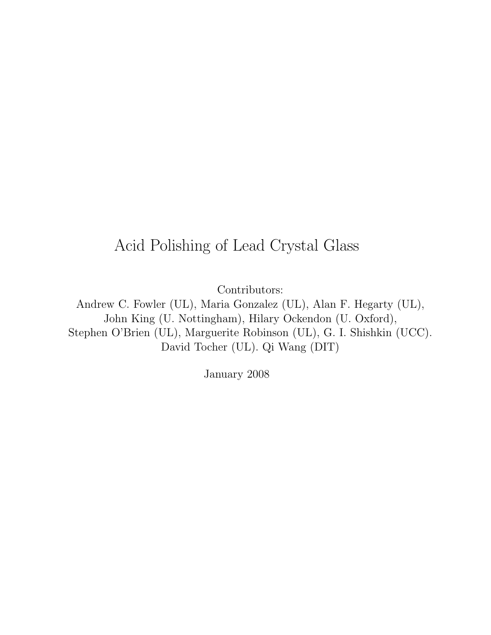# Acid Polishing of Lead Crystal Glass

Contributors:

Andrew C. Fowler (UL), Maria Gonzalez (UL), Alan F. Hegarty (UL), John King (U. Nottingham), Hilary Ockendon (U. Oxford), Stephen O'Brien (UL), Marguerite Robinson (UL), G. I. Shishkin (UCC). David Tocher (UL). Qi Wang (DIT)

January 2008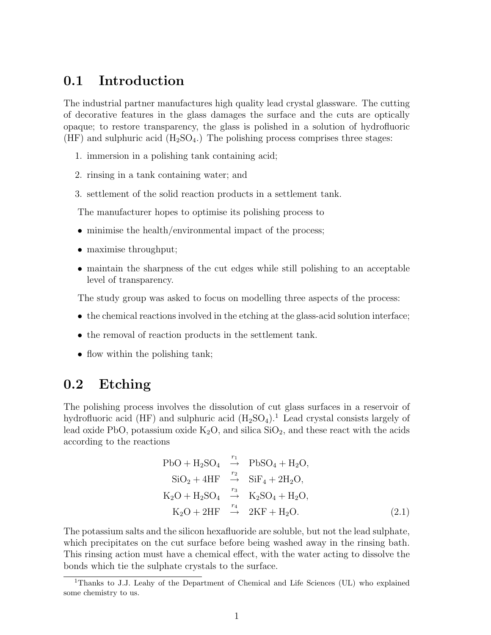### 0.1 Introduction

The industrial partner manufactures high quality lead crystal glassware. The cutting of decorative features in the glass damages the surface and the cuts are optically opaque; to restore transparency, the glass is polished in a solution of hydrofluoric (HF) and sulphuric acid  $(H_2SO_4)$ . The polishing process comprises three stages:

- 1. immersion in a polishing tank containing acid;
- 2. rinsing in a tank containing water; and
- 3. settlement of the solid reaction products in a settlement tank.

The manufacturer hopes to optimise its polishing process to

- minimise the health/environmental impact of the process;
- maximise throughput;
- maintain the sharpness of the cut edges while still polishing to an acceptable level of transparency.

The study group was asked to focus on modelling three aspects of the process:

- the chemical reactions involved in the etching at the glass-acid solution interface;
- the removal of reaction products in the settlement tank.
- flow within the polishing tank;

# 0.2 Etching

The polishing process involves the dissolution of cut glass surfaces in a reservoir of hydrofluoric acid (HF) and sulphuric acid  $(H_2SO_4)$ .<sup>1</sup> Lead crystal consists largely of lead oxide PbO, potassium oxide  $K_2O$ , and silica  $SiO_2$ , and these react with the acids according to the reactions

$$
PbO + H_2SO_4 \xrightarrow{r_1} PbSO_4 + H_2O,
$$
  
\n
$$
SiO_2 + 4HF \xrightarrow{r_2} SiF_4 + 2H_2O,
$$
  
\n
$$
K_2O + H_2SO_4 \xrightarrow{r_3} K_2SO_4 + H_2O,
$$
  
\n
$$
K_2O + 2HF \xrightarrow{r_4} 2KF + H_2O.
$$
\n(2.1)

The potassium salts and the silicon hexafluoride are soluble, but not the lead sulphate, which precipitates on the cut surface before being washed away in the rinsing bath. This rinsing action must have a chemical effect, with the water acting to dissolve the bonds which tie the sulphate crystals to the surface.

<sup>1</sup>Thanks to J.J. Leahy of the Department of Chemical and Life Sciences (UL) who explained some chemistry to us.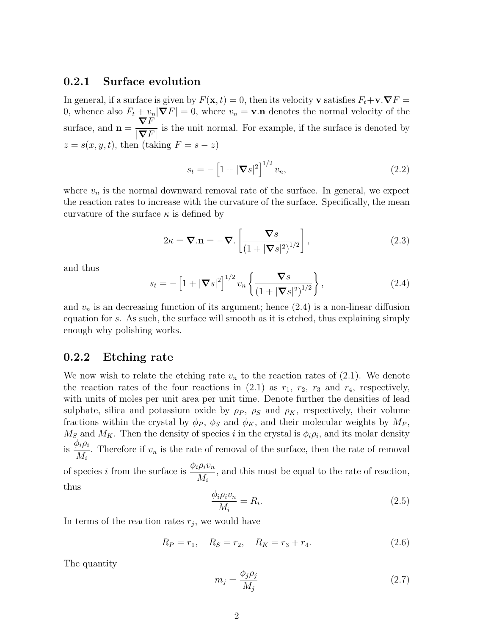#### 0.2.1 Surface evolution

In general, if a surface is given by  $F(\mathbf{x}, t) = 0$ , then its velocity v satisfies  $F_t + \mathbf{v} \cdot \nabla F =$ 0, whence also  $F_t + v_n |\nabla F| = 0$ , where  $v_n = \mathbf{v} \cdot \mathbf{n}$  denotes the normal velocity of the surface, and  $n =$  $\nabla F$  $|\boldsymbol{\nabla} F|$ is the unit normal. For example, if the surface is denoted by  $z = s(x, y, t)$ , then (taking  $F = s - z$ )

$$
s_t = -\left[1 + |\nabla s|^2\right]^{1/2} v_n,\tag{2.2}
$$

where  $v_n$  is the normal downward removal rate of the surface. In general, we expect the reaction rates to increase with the curvature of the surface. Specifically, the mean curvature of the surface  $\kappa$  is defined by

$$
2\kappa = \mathbf{\nabla}.\mathbf{n} = -\mathbf{\nabla}. \left[ \frac{\mathbf{\nabla}s}{\left(1 + |\mathbf{\nabla}s|^2\right)^{1/2}} \right],\tag{2.3}
$$

and thus

$$
s_t = -\left[1 + |\nabla s|^2\right]^{1/2} v_n \left\{\frac{\nabla s}{\left(1 + |\nabla s|^2\right)^{1/2}}\right\},\tag{2.4}
$$

and  $v_n$  is an decreasing function of its argument; hence  $(2.4)$  is a non-linear diffusion equation for s. As such, the surface will smooth as it is etched, thus explaining simply enough why polishing works.

#### 0.2.2 Etching rate

We now wish to relate the etching rate  $v_n$  to the reaction rates of  $(2.1)$ . We denote the reaction rates of the four reactions in  $(2.1)$  as  $r_1$ ,  $r_2$ ,  $r_3$  and  $r_4$ , respectively, with units of moles per unit area per unit time. Denote further the densities of lead sulphate, silica and potassium oxide by  $\rho_P$ ,  $\rho_S$  and  $\rho_K$ , respectively, their volume fractions within the crystal by  $\phi_P$ ,  $\phi_S$  and  $\phi_K$ , and their molecular weights by  $M_P$ ,  $M_S$  and  $M_K$ . Then the density of species i in the crystal is  $\phi_i \rho_i$ , and its molar density is  $\frac{\phi_i \rho_i}{\Lambda}$  $M_i$ . Therefore if  $v_n$  is the rate of removal of the surface, then the rate of removal of species i from the surface is  $\frac{\phi_i \rho_i v_n}{M}$  $M_i$ , and this must be equal to the rate of reaction, thus

$$
\frac{\phi_i \rho_i v_n}{M_i} = R_i.
$$

In terms of the reaction rates  $r_j$ , we would have

$$
R_P = r_1, \quad R_S = r_2, \quad R_K = r_3 + r_4. \tag{2.6}
$$

The quantity

$$
m_j = \frac{\phi_j \rho_j}{M_j} \tag{2.7}
$$

 $(2.5)$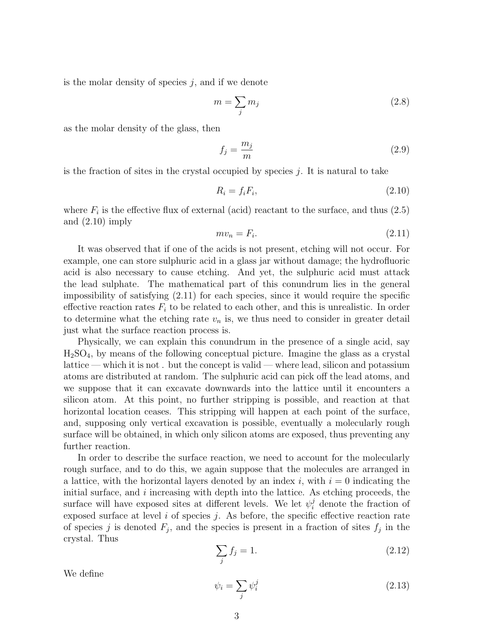is the molar density of species  $j$ , and if we denote

$$
m = \sum_{j} m_j \tag{2.8}
$$

as the molar density of the glass, then

$$
f_j = \frac{m_j}{m} \tag{2.9}
$$

is the fraction of sites in the crystal occupied by species  $j$ . It is natural to take

$$
R_i = f_i F_i,\tag{2.10}
$$

where  $F_i$  is the effective flux of external (acid) reactant to the surface, and thus  $(2.5)$ and  $(2.10)$  imply

$$
mv_n = F_i. \tag{2.11}
$$

It was observed that if one of the acids is not present, etching will not occur. For example, one can store sulphuric acid in a glass jar without damage; the hydrofluoric acid is also necessary to cause etching. And yet, the sulphuric acid must attack the lead sulphate. The mathematical part of this conundrum lies in the general impossibility of satisfying (2.11) for each species, since it would require the specific effective reaction rates  $F_i$  to be related to each other, and this is unrealistic. In order to determine what the etching rate  $v_n$  is, we thus need to consider in greater detail just what the surface reaction process is.

Physically, we can explain this conundrum in the presence of a single acid, say H2SO4, by means of the following conceptual picture. Imagine the glass as a crystal lattice — which it is not . but the concept is valid — where lead, silicon and potassium atoms are distributed at random. The sulphuric acid can pick off the lead atoms, and we suppose that it can excavate downwards into the lattice until it encounters a silicon atom. At this point, no further stripping is possible, and reaction at that horizontal location ceases. This stripping will happen at each point of the surface, and, supposing only vertical excavation is possible, eventually a molecularly rough surface will be obtained, in which only silicon atoms are exposed, thus preventing any further reaction.

In order to describe the surface reaction, we need to account for the molecularly rough surface, and to do this, we again suppose that the molecules are arranged in a lattice, with the horizontal layers denoted by an index i, with  $i = 0$  indicating the initial surface, and  $i$  increasing with depth into the lattice. As etching proceeds, the surface will have exposed sites at different levels. We let  $\psi_i^j$  denote the fraction of exposed surface at level  $i$  of species  $j$ . As before, the specific effective reaction rate of species j is denoted  $F_j$ , and the species is present in a fraction of sites  $f_j$  in the crystal. Thus

$$
\sum_{j} f_j = 1. \tag{2.12}
$$

We define

$$
\psi_i = \sum_j \psi_i^j \tag{2.13}
$$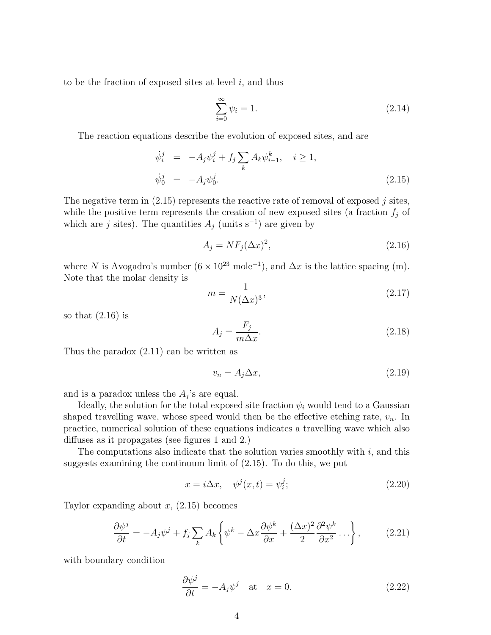to be the fraction of exposed sites at level  $i$ , and thus

$$
\sum_{i=0}^{\infty} \psi_i = 1. \tag{2.14}
$$

The reaction equations describe the evolution of exposed sites, and are

$$
\begin{array}{rcl}\n\dot{\psi}_i^j & = & -A_j \psi_i^j + f_j \sum_k A_k \psi_{i-1}^k, \quad i \ge 1, \\
\dot{\psi}_0^j & = & -A_j \psi_0^j.\n\end{array} \tag{2.15}
$$

The negative term in  $(2.15)$  represents the reactive rate of removal of exposed j sites, while the positive term represents the creation of new exposed sites (a fraction  $f_i$  of which are j sites). The quantities  $A_j$  (units s<sup>-1</sup>) are given by

$$
A_j = NF_j(\Delta x)^2,\tag{2.16}
$$

where N is Avogadro's number  $(6 \times 10^{23} \text{ mole}^{-1})$ , and  $\Delta x$  is the lattice spacing (m). Note that the molar density is

$$
m = \frac{1}{N(\Delta x)^3},\tag{2.17}
$$

so that  $(2.16)$  is

$$
A_j = \frac{F_j}{m\Delta x}.\tag{2.18}
$$

Thus the paradox (2.11) can be written as

$$
v_n = A_j \Delta x,\tag{2.19}
$$

and is a paradox unless the  $A_j$ 's are equal.

Ideally, the solution for the total exposed site fraction  $\psi_i$  would tend to a Gaussian shaped travelling wave, whose speed would then be the effective etching rate,  $v_n$ . In practice, numerical solution of these equations indicates a travelling wave which also diffuses as it propagates (see figures 1 and 2.)

The computations also indicate that the solution varies smoothly with  $i$ , and this suggests examining the continuum limit of (2.15). To do this, we put

$$
x = i\Delta x, \quad \psi^j(x, t) = \psi_i^j; \tag{2.20}
$$

Taylor expanding about  $x$ ,  $(2.15)$  becomes

$$
\frac{\partial \psi^j}{\partial t} = -A_j \psi^j + f_j \sum_k A_k \left\{ \psi^k - \Delta x \frac{\partial \psi^k}{\partial x} + \frac{(\Delta x)^2}{2} \frac{\partial^2 \psi^k}{\partial x^2} \dots \right\},\tag{2.21}
$$

with boundary condition

$$
\frac{\partial \psi^j}{\partial t} = -A_j \psi^j \quad \text{at} \quad x = 0. \tag{2.22}
$$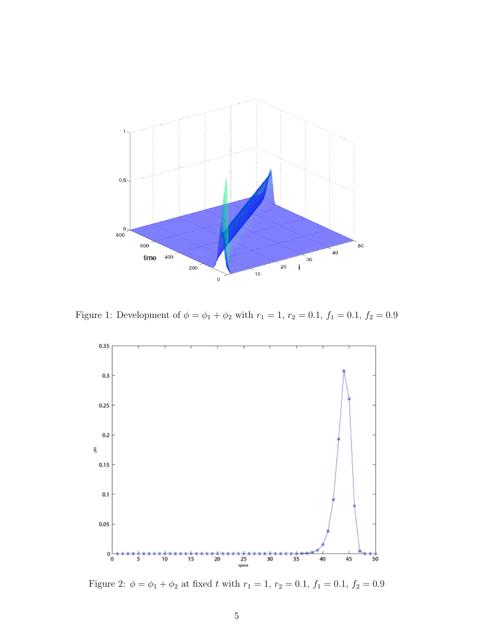

Figure 1: Development of  $\phi = \phi_1 + \phi_2$  with  $r_1 = 1$ ,  $r_2 = 0.1$ ,  $f_1 = 0.1$ ,  $f_2 = 0.9$ 



Figure 2:  $\phi = \phi_1 + \phi_2$  at fixed t with  $r_1 = 1$ ,  $r_2 = 0.1$ ,  $f_1 = 0.1$ ,  $f_2 = 0.9$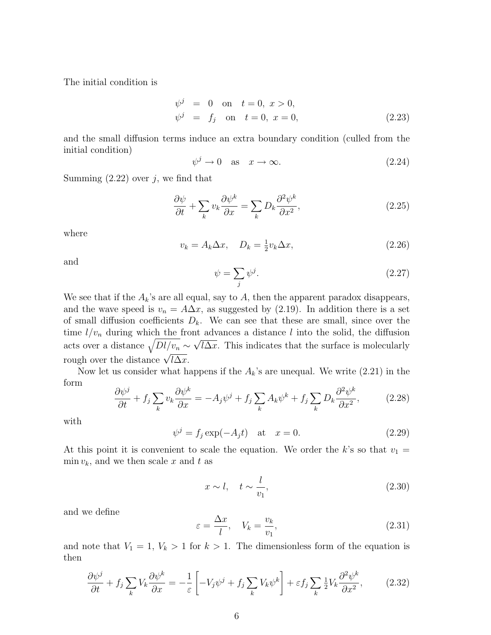The initial condition is

$$
\psi^j = 0 \text{ on } t = 0, x > 0,\n\psi^j = f_j \text{ on } t = 0, x = 0,
$$
\n(2.23)

and the small diffusion terms induce an extra boundary condition (culled from the initial condition)

$$
\psi^j \to 0 \quad \text{as} \quad x \to \infty. \tag{2.24}
$$

Summing  $(2.22)$  over j, we find that

$$
\frac{\partial \psi}{\partial t} + \sum_{k} v_k \frac{\partial \psi^k}{\partial x} = \sum_{k} D_k \frac{\partial^2 \psi^k}{\partial x^2},\tag{2.25}
$$

where

$$
v_k = A_k \Delta x, \quad D_k = \frac{1}{2} v_k \Delta x,
$$
\n
$$
(2.26)
$$

and

$$
\psi = \sum_{j} \psi^{j}.
$$
\n(2.27)

We see that if the  $A_k$ 's are all equal, say to  $A$ , then the apparent paradox disappears, and the wave speed is  $v_n = A\Delta x$ , as suggested by (2.19). In addition there is a set of small diffusion coefficients  $D_k$ . We can see that these are small, since over the time  $l/v_n$  during which the front advances a distance l into the solid, the diffusion acts over a distance  $\sqrt{Dl/v_n} \sim \sqrt{l\Delta x}$ . This indicates that the surface is molecularly rough over the distance  $\sqrt{l\Delta x}$ .

Now let us consider what happens if the  $A_k$ 's are unequal. We write  $(2.21)$  in the form

$$
\frac{\partial \psi^j}{\partial t} + f_j \sum_k v_k \frac{\partial \psi^k}{\partial x} = -A_j \psi^j + f_j \sum_k A_k \psi^k + f_j \sum_k D_k \frac{\partial^2 \psi^k}{\partial x^2},\tag{2.28}
$$

with

$$
\psi^j = f_j \exp(-A_j t) \quad \text{at} \quad x = 0. \tag{2.29}
$$

At this point it is convenient to scale the equation. We order the k's so that  $v_1 =$  $\min v_k$ , and we then scale x and t as

$$
x \sim l, \quad t \sim \frac{l}{v_1},\tag{2.30}
$$

and we define

$$
\varepsilon = \frac{\Delta x}{l}, \quad V_k = \frac{v_k}{v_1},\tag{2.31}
$$

and note that  $V_1 = 1, V_k > 1$  for  $k > 1$ . The dimensionless form of the equation is then

$$
\frac{\partial \psi^j}{\partial t} + f_j \sum_k V_k \frac{\partial \psi^k}{\partial x} = -\frac{1}{\varepsilon} \left[ -V_j \psi^j + f_j \sum_k V_k \psi^k \right] + \varepsilon f_j \sum_k \frac{1}{2} V_k \frac{\partial^2 \psi^k}{\partial x^2},\tag{2.32}
$$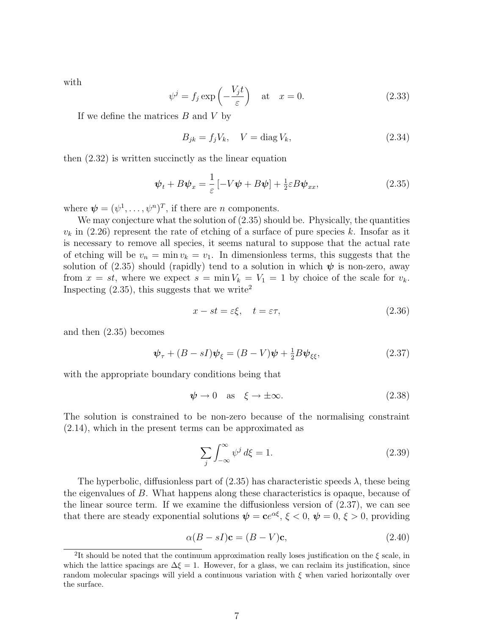with

$$
\psi^j = f_j \exp\left(-\frac{V_j t}{\varepsilon}\right) \quad \text{at} \quad x = 0. \tag{2.33}
$$

If we define the matrices  $B$  and  $V$  by

$$
B_{jk} = f_j V_k, \quad V = \text{diag } V_k,\tag{2.34}
$$

then (2.32) is written succinctly as the linear equation

$$
\psi_t + B\psi_x = \frac{1}{\varepsilon} \left[ -V\psi + B\psi \right] + \frac{1}{2}\varepsilon B\psi_{xx},\tag{2.35}
$$

where  $\boldsymbol{\psi} = (\psi^1, \dots, \psi^n)^T$ , if there are *n* components.

We may conjecture what the solution of  $(2.35)$  should be. Physically, the quantities  $v_k$  in (2.26) represent the rate of etching of a surface of pure species k. Insofar as it is necessary to remove all species, it seems natural to suppose that the actual rate of etching will be  $v_n = \min v_k = v_1$ . In dimensionless terms, this suggests that the solution of (2.35) should (rapidly) tend to a solution in which  $\psi$  is non-zero, away from  $x = st$ , where we expect  $s = \min V_k = V_1 = 1$  by choice of the scale for  $v_k$ . Inspecting  $(2.35)$ , this suggests that we write<sup>2</sup>

$$
x - st = \varepsilon \xi, \quad t = \varepsilon \tau,
$$
\n
$$
(2.36)
$$

and then (2.35) becomes

$$
\psi_{\tau} + (B - sI)\psi_{\xi} = (B - V)\psi + \frac{1}{2}B\psi_{\xi\xi},\tag{2.37}
$$

with the appropriate boundary conditions being that

$$
\psi \to 0 \quad \text{as} \quad \xi \to \pm \infty. \tag{2.38}
$$

The solution is constrained to be non-zero because of the normalising constraint (2.14), which in the present terms can be approximated as

$$
\sum_{j} \int_{-\infty}^{\infty} \psi^j d\xi = 1. \tag{2.39}
$$

The hyperbolic, diffusionless part of  $(2.35)$  has characteristic speeds  $\lambda$ , these being the eigenvalues of B. What happens along these characteristics is opaque, because of the linear source term. If we examine the diffusionless version of (2.37), we can see that there are steady exponential solutions  $\psi = ce^{\alpha \xi}, \xi < 0, \psi = 0, \xi > 0$ , providing

$$
\alpha (B - sI)\mathbf{c} = (B - V)\mathbf{c},\tag{2.40}
$$

<sup>&</sup>lt;sup>2</sup>It should be noted that the continuum approximation really loses justification on the  $\xi$  scale, in which the lattice spacings are  $\Delta \xi = 1$ . However, for a glass, we can reclaim its justification, since random molecular spacings will yield a continuous variation with  $\xi$  when varied horizontally over the surface.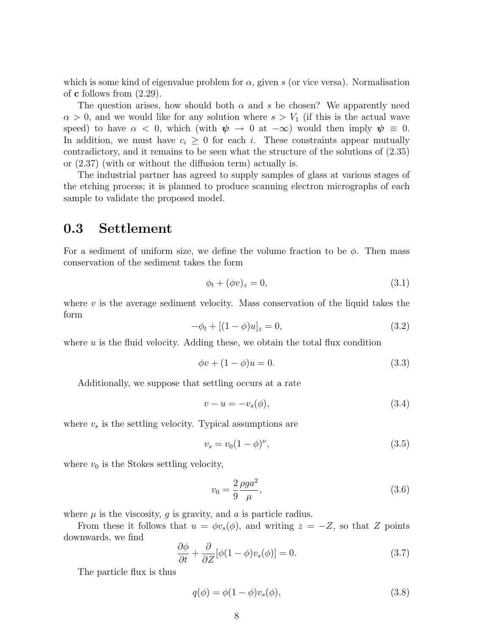which is some kind of eigenvalue problem for  $\alpha$ , given s (or vice versa). Normalisation of **c** follows from  $(2.29)$ .

The question arises, how should both  $\alpha$  and s be chosen? We apparently need  $\alpha > 0$ , and we would like for any solution where  $s > V_1$  (if this is the actual wave speed) to have  $\alpha < 0$ , which (with  $\psi \to 0$  at  $-\infty$ ) would then imply  $\psi \equiv 0$ . In addition, we must have  $c_i \geq 0$  for each i. These constraints appear mutually contradictory, and it remains to be seen what the structure of the solutions of (2.35) or (2.37) (with or without the diffusion term) actually is.

The industrial partner has agreed to supply samples of glass at various stages of the etching process; it is planned to produce scanning electron micrographs of each sample to validate the proposed model.

### 0.3 Settlement

For a sediment of uniform size, we define the volume fraction to be  $\phi$ . Then mass conservation of the sediment takes the form

$$
\phi_t + (\phi v)_z = 0,\tag{3.1}
$$

where  $v$  is the average sediment velocity. Mass conservation of the liquid takes the form

$$
-\phi_t + [(1 - \phi)u]_z = 0,\t\t(3.2)
$$

where  $u$  is the fluid velocity. Adding these, we obtain the total flux condition

$$
\phi v + (1 - \phi)u = 0. \tag{3.3}
$$

Additionally, we suppose that settling occurs at a rate

$$
v - u = -v_s(\phi),\tag{3.4}
$$

where  $v_s$  is the settling velocity. Typical assumptions are

$$
v_s = v_0 (1 - \phi)^\nu, \tag{3.5}
$$

where  $v_0$  is the Stokes settling velocity,

$$
v_0 = \frac{2}{9} \frac{\rho g a^2}{\mu},
$$
\n(3.6)

where  $\mu$  is the viscosity, g is gravity, and a is particle radius.

From these it follows that  $u = \phi v_s(\phi)$ , and writing  $z = -Z$ , so that Z points downwards, we find

$$
\frac{\partial \phi}{\partial t} + \frac{\partial}{\partial Z} [\phi(1 - \phi)v_s(\phi)] = 0.
$$
 (3.7)

The particle flux is thus

$$
q(\phi) = \phi(1 - \phi)v_s(\phi), \qquad (3.8)
$$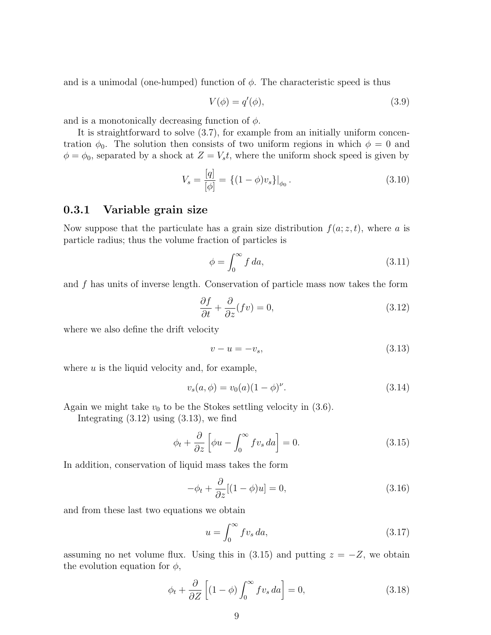and is a unimodal (one-humped) function of  $\phi$ . The characteristic speed is thus

$$
V(\phi) = q'(\phi),\tag{3.9}
$$

and is a monotonically decreasing function of  $\phi$ .

It is straightforward to solve (3.7), for example from an initially uniform concentration  $\phi_0$ . The solution then consists of two uniform regions in which  $\phi = 0$  and  $\phi = \phi_0$ , separated by a shock at  $Z = V_s t$ , where the uniform shock speed is given by

$$
V_s = \frac{[q]}{[\phi]} = \left\{ (1 - \phi)v_s \right\} |_{\phi_0}.
$$
\n(3.10)

#### 0.3.1 Variable grain size

Now suppose that the particulate has a grain size distribution  $f(a; z, t)$ , where a is particle radius; thus the volume fraction of particles is

$$
\phi = \int_0^\infty f \, da,\tag{3.11}
$$

and f has units of inverse length. Conservation of particle mass now takes the form

$$
\frac{\partial f}{\partial t} + \frac{\partial}{\partial z}(fv) = 0,\tag{3.12}
$$

where we also define the drift velocity

$$
v - u = -v_s,\tag{3.13}
$$

where  $u$  is the liquid velocity and, for example,

$$
v_s(a,\phi) = v_0(a)(1-\phi)^{\nu}.
$$
\n(3.14)

Again we might take  $v_0$  to be the Stokes settling velocity in  $(3.6)$ .

Integrating  $(3.12)$  using  $(3.13)$ , we find

$$
\phi_t + \frac{\partial}{\partial z} \left[ \phi u - \int_0^\infty f v_s \, da \right] = 0. \tag{3.15}
$$

In addition, conservation of liquid mass takes the form

$$
-\phi_t + \frac{\partial}{\partial z}[(1-\phi)u] = 0,\t(3.16)
$$

and from these last two equations we obtain

$$
u = \int_0^\infty f v_s \, da,\tag{3.17}
$$

assuming no net volume flux. Using this in (3.15) and putting  $z = -Z$ , we obtain the evolution equation for  $\phi$ ,

$$
\phi_t + \frac{\partial}{\partial Z} \left[ (1 - \phi) \int_0^\infty f v_s \, da \right] = 0,\tag{3.18}
$$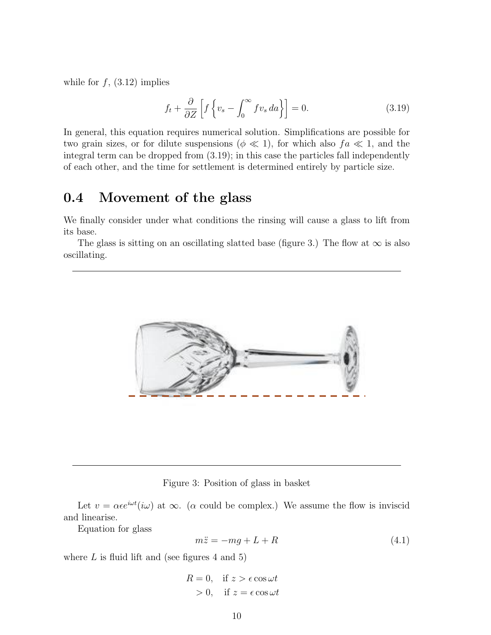while for  $f$ ,  $(3.12)$  implies

$$
f_t + \frac{\partial}{\partial Z} \left[ f \left\{ v_s - \int_0^\infty f v_s \, da \right\} \right] = 0. \tag{3.19}
$$

In general, this equation requires numerical solution. Simplifications are possible for two grain sizes, or for dilute suspensions ( $\phi \ll 1$ ), for which also  $fa \ll 1$ , and the integral term can be dropped from (3.19); in this case the particles fall independently of each other, and the time for settlement is determined entirely by particle size.

## 0.4 Movement of the glass

U. THUVEILLE UP THE STASS<br>We finally consider under what conditions the rinsing will cause a glass to lift from its base.

The glass is sitting on an oscillating slatted base (figure 3.) The flow at  $\infty$  is also oscillating.



#### Figure 3: Position of glass in basket

Let  $v = \alpha \epsilon e^{i\omega t} (i\omega)$  at  $\infty$ . ( $\alpha$  could be complex.) We assume the flow is inviscid and linearise.

 $Equation for glass$ 

$$
m\ddot{z} = -mg + L + R \tag{4.1}
$$

where  $L$  is fluid lift and (see figures 4 and 5)

$$
R = 0, \quad \text{if } z > \epsilon \cos \omega t
$$
  
> 0, \quad \text{if } z = \epsilon \cos \omega t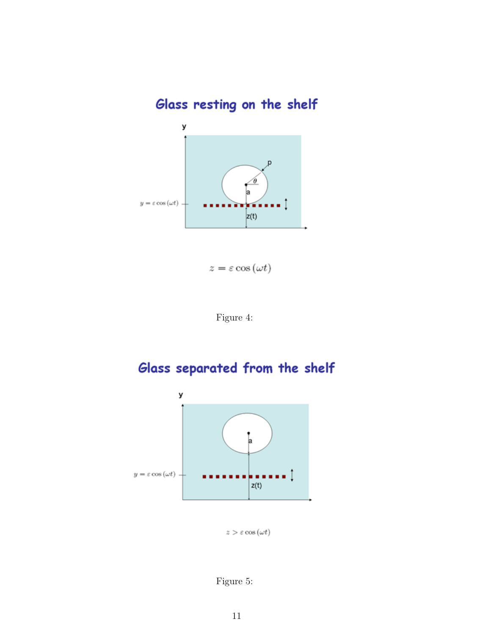Glass resting on the shelf



$$
z = \varepsilon \cos{(\omega t)}
$$



# Glass separated from the shelf



 $z>\varepsilon\cos\left(\omega t\right)$ 

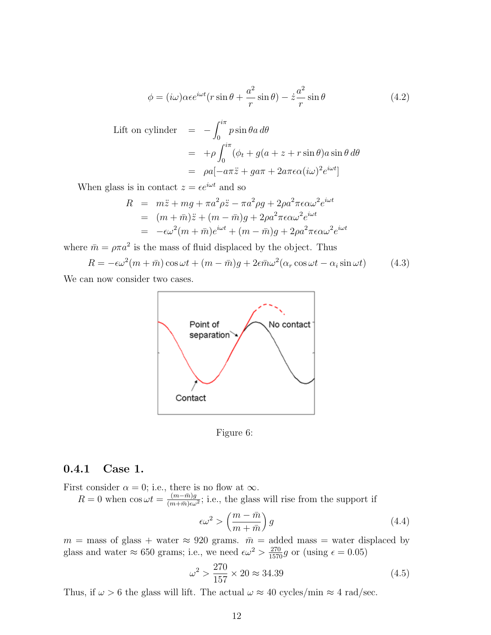$$
\phi = (i\omega)\alpha \epsilon e^{i\omega t} (r\sin\theta + \frac{a^2}{r}\sin\theta) - \dot{z}\frac{a^2}{r}\sin\theta \tag{4.2}
$$

Left on cylinder

\n
$$
= -\int_0^{i\pi} p \sin \theta a \, d\theta
$$
\n
$$
= +\rho \int_0^{i\pi} (\phi_t + g(a+z+r \sin \theta) a \sin \theta \, d\theta
$$
\n
$$
= \rho a[-a\pi \ddot{z} + g a\pi + 2a\pi \epsilon \alpha(i\omega)^2 e^{i\omega t}]
$$

When glass is in contact  $z = \epsilon e^{i\omega t}$  and so

$$
R = m\ddot{z} + mg + \pi a^2 \rho \ddot{z} - \pi a^2 \rho g + 2\rho a^2 \pi \epsilon \alpha \omega^2 e^{i\omega t}
$$
  
= 
$$
(m + \bar{m})\ddot{z} + (m - \bar{m})g + 2\rho a^2 \pi \epsilon \alpha \omega^2 e^{i\omega t}
$$
  
= 
$$
-\epsilon \omega^2 (m + \bar{m})e^{i\omega t} + (m - \bar{m})g + 2\rho a^2 \pi \epsilon \alpha \omega^2 e^{i\omega t}
$$

where  $\bar{m} = \rho \pi a^2$  is the mass of fluid displaced by the object. Thus

$$
R = -\epsilon \omega^2 (m + \bar{m}) \cos \omega t + (m - \bar{m})g + 2\epsilon \bar{m} \omega^2 (\alpha_r \cos \omega t - \alpha_i \sin \omega t)
$$
(4.3)

We can now consider two cases.





#### 0.4.1 Case 1.

First consider  $\alpha = 0$ ; i.e., there is no flow at  $\infty$ .

 $R = 0$  when  $\cos \omega t = \frac{(m - \bar{m})g}{(m + \bar{m})g}$  $\frac{(m-m)g}{(m+\bar{m})\epsilon\omega^2}$ ; i.e., the glass will rise from the support if

$$
\epsilon \omega^2 > \left(\frac{m - \bar{m}}{m + \bar{m}}\right) g \tag{4.4}
$$

 $m =$  mass of glass + water  $\approx 920$  grams.  $\bar{m} =$  added mass = water displaced by glass and water  $\approx 650$  grams; i.e., we need  $\epsilon \omega^2 > \frac{270}{1570}g$  or (using  $\epsilon = 0.05$ )

$$
\omega^2 > \frac{270}{157} \times 20 \approx 34.39\tag{4.5}
$$

Thus, if  $\omega > 6$  the glass will lift. The actual  $\omega \approx 40$  cycles/min  $\approx 4$  rad/sec.